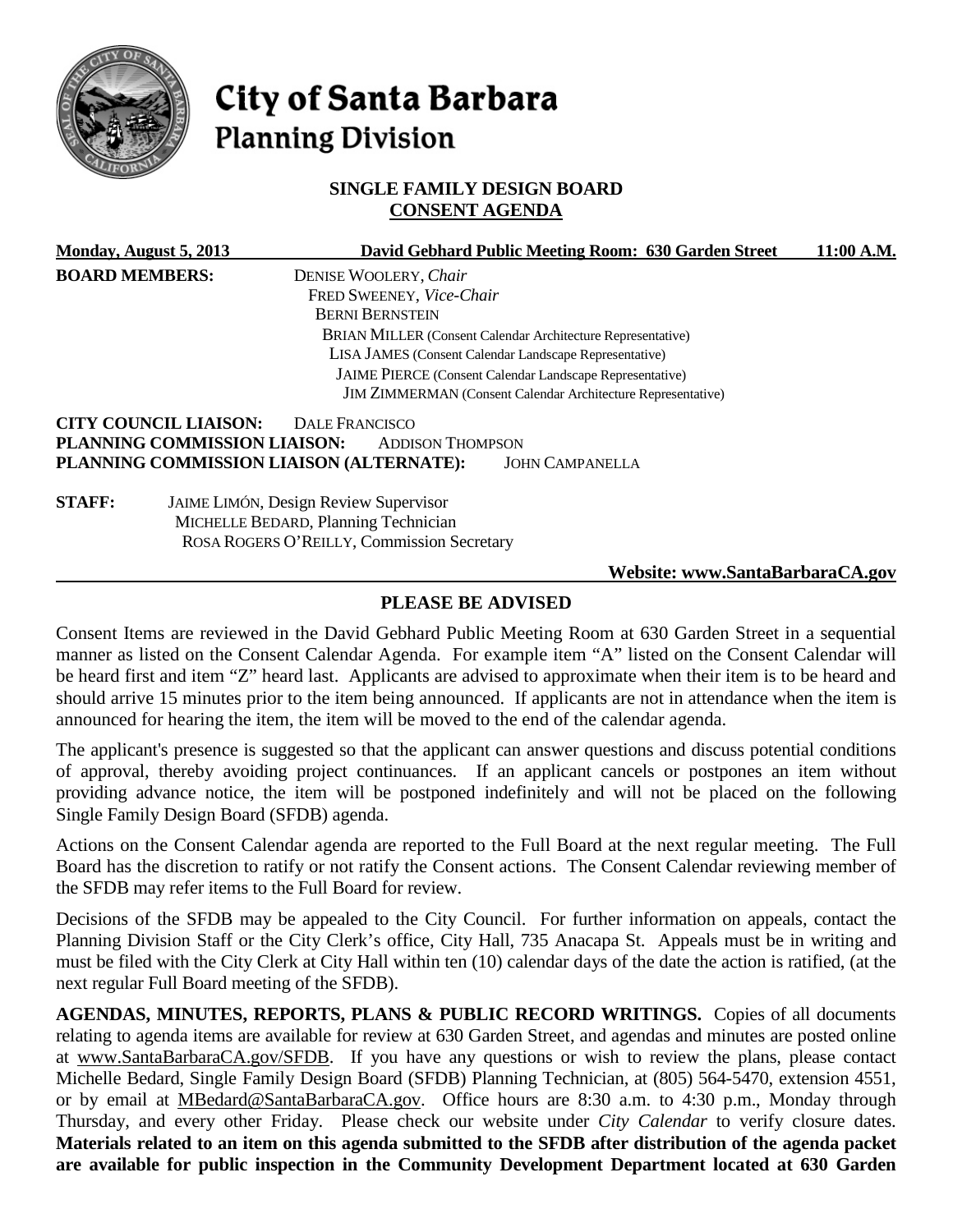

# City of Santa Barbara **Planning Division**

# **SINGLE FAMILY DESIGN BOARD CONSENT AGENDA**

|                       | Monday, August 5, 2013       | David Gebhard Public Meeting Room: 630 Garden Street                | 11:00 A.M. |
|-----------------------|------------------------------|---------------------------------------------------------------------|------------|
| <b>BOARD MEMBERS:</b> |                              | DENISE WOOLERY, Chair                                               |            |
|                       |                              | FRED SWEENEY, Vice-Chair                                            |            |
|                       |                              | <b>BERNI BERNSTEIN</b>                                              |            |
|                       |                              | <b>BRIAN MILLER (Consent Calendar Architecture Representative)</b>  |            |
|                       |                              | <b>LISA JAMES</b> (Consent Calendar Landscape Representative)       |            |
|                       |                              | JAIME PIERCE (Consent Calendar Landscape Representative)            |            |
|                       |                              | <b>JIM ZIMMERMAN</b> (Consent Calendar Architecture Representative) |            |
|                       | <b>CITY COUNCIL LIAISON:</b> | <b>DALE FRANCISCO</b>                                               |            |
|                       | PLANNING COMMISSION LIAISON: | <b>ADDISON THOMPSON</b>                                             |            |
|                       |                              | PLANNING COMMISSION LIAISON (ALTERNATE):<br><b>JOHN CAMPANELLA</b>  |            |
| <b>STAFF:</b>         |                              | <b>JAIME LIMÓN, Design Review Supervisor</b>                        |            |
|                       |                              | MICHELLE BEDARD, Planning Technician                                |            |
|                       |                              | ROSA ROGERS O'REILLY, Commission Secretary                          |            |
|                       |                              | Website: www.SantaBarbaraCA.gov                                     |            |

# **PLEASE BE ADVISED**

Consent Items are reviewed in the David Gebhard Public Meeting Room at 630 Garden Street in a sequential manner as listed on the Consent Calendar Agenda. For example item "A" listed on the Consent Calendar will be heard first and item "Z" heard last. Applicants are advised to approximate when their item is to be heard and should arrive 15 minutes prior to the item being announced. If applicants are not in attendance when the item is announced for hearing the item, the item will be moved to the end of the calendar agenda.

The applicant's presence is suggested so that the applicant can answer questions and discuss potential conditions of approval, thereby avoiding project continuances. If an applicant cancels or postpones an item without providing advance notice, the item will be postponed indefinitely and will not be placed on the following Single Family Design Board (SFDB) agenda.

Actions on the Consent Calendar agenda are reported to the Full Board at the next regular meeting. The Full Board has the discretion to ratify or not ratify the Consent actions. The Consent Calendar reviewing member of the SFDB may refer items to the Full Board for review.

Decisions of the SFDB may be appealed to the City Council. For further information on appeals, contact the Planning Division Staff or the City Clerk's office, City Hall, 735 Anacapa St. Appeals must be in writing and must be filed with the City Clerk at City Hall within ten (10) calendar days of the date the action is ratified, (at the next regular Full Board meeting of the SFDB).

**AGENDAS, MINUTES, REPORTS, PLANS & PUBLIC RECORD WRITINGS.** Copies of all documents relating to agenda items are available for review at 630 Garden Street, and agendas and minutes are posted online at [www.SantaBarbaraCA.gov/SFDB.](http://www.santabarbaraca.gov/ABR) If you have any questions or wish to review the plans, please contact Michelle Bedard, Single Family Design Board (SFDB) Planning Technician, at (805) 564-5470, extension 4551, or by email at [MBedard@SantaBarbaraCA.gov.](mailto:MBedard@SantaBarbaraCA.gov) Office hours are 8:30 a.m. to 4:30 p.m., Monday through Thursday, and every other Friday. Please check our website under *City Calendar* to verify closure dates. **Materials related to an item on this agenda submitted to the SFDB after distribution of the agenda packet are available for public inspection in the Community Development Department located at 630 Garden**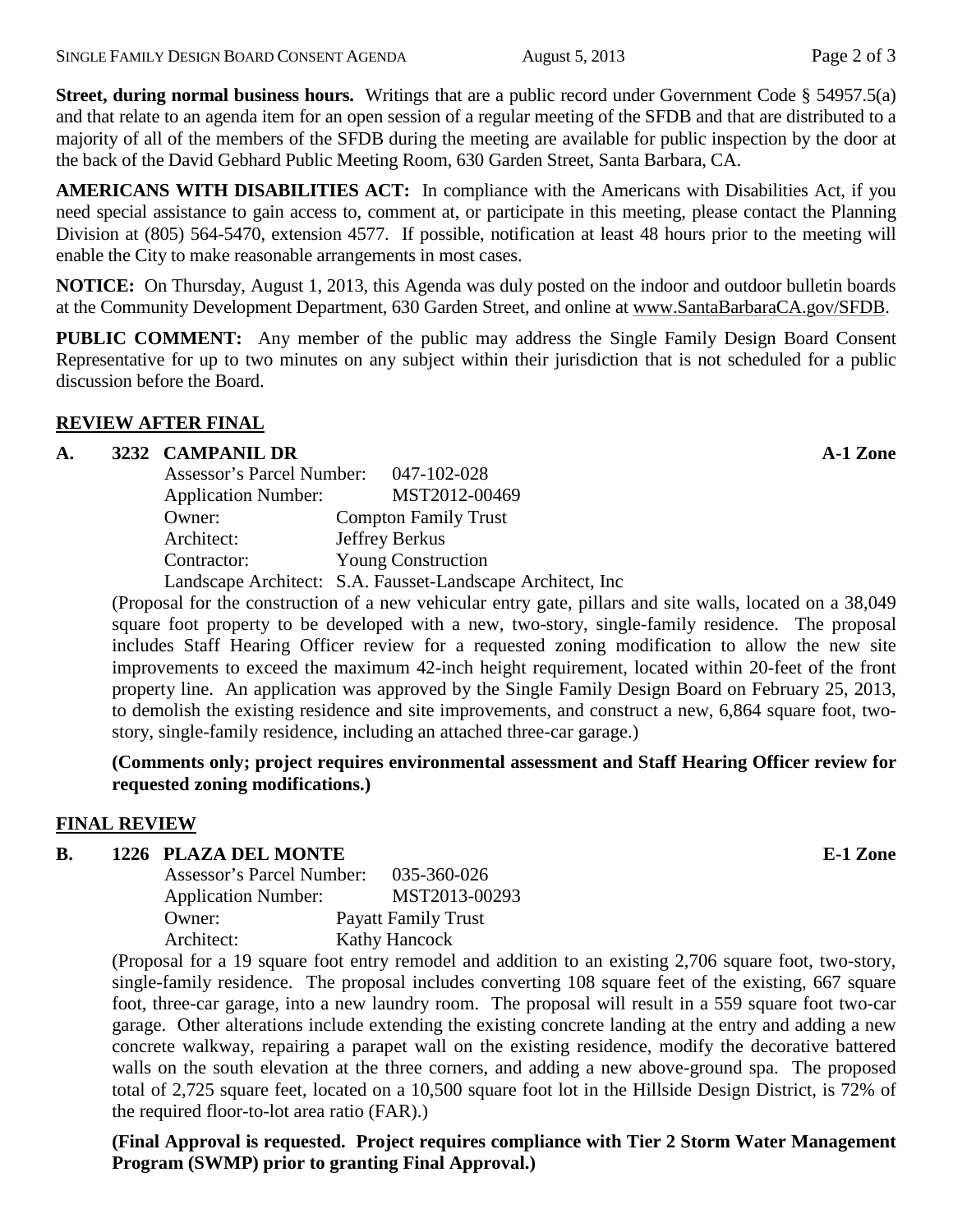**Street, during normal business hours.** Writings that are a public record under Government Code § 54957.5(a) and that relate to an agenda item for an open session of a regular meeting of the SFDB and that are distributed to a majority of all of the members of the SFDB during the meeting are available for public inspection by the door at the back of the David Gebhard Public Meeting Room, 630 Garden Street, Santa Barbara, CA.

**AMERICANS WITH DISABILITIES ACT:** In compliance with the Americans with Disabilities Act, if you need special assistance to gain access to, comment at, or participate in this meeting, please contact the Planning Division at (805) 564-5470, extension 4577. If possible, notification at least 48 hours prior to the meeting will enable the City to make reasonable arrangements in most cases.

**NOTICE:** On Thursday, August 1, 2013, this Agenda was duly posted on the indoor and outdoor bulletin boards at the Community Development Department, 630 Garden Street, and online at [www.SantaBarbaraCA.gov/SFDB.](http://www.santabarbaraca.gov/sfdb)

**PUBLIC COMMENT:** Any member of the public may address the Single Family Design Board Consent Representative for up to two minutes on any subject within their jurisdiction that is not scheduled for a public discussion before the Board.

# **REVIEW AFTER FINAL**

### **A. 3232 CAMPANIL DR A-1 Zone**

| Assessor's Parcel Number:  | 047-102-028                                                 |
|----------------------------|-------------------------------------------------------------|
| <b>Application Number:</b> | MST2012-00469                                               |
| Owner:                     | <b>Compton Family Trust</b>                                 |
| Architect:                 | Jeffrey Berkus                                              |
| Contractor:                | <b>Young Construction</b>                                   |
|                            | Landscape Architect: S.A. Fausset-Landscape Architect, Inc. |

(Proposal for the construction of a new vehicular entry gate, pillars and site walls, located on a 38,049 square foot property to be developed with a new, two-story, single-family residence. The proposal includes Staff Hearing Officer review for a requested zoning modification to allow the new site improvements to exceed the maximum 42-inch height requirement, located within 20-feet of the front property line. An application was approved by the Single Family Design Board on February 25, 2013, to demolish the existing residence and site improvements, and construct a new, 6,864 square foot, twostory, single-family residence, including an attached three-car garage.)

**(Comments only; project requires environmental assessment and Staff Hearing Officer review for requested zoning modifications.)**

#### **FINAL REVIEW**

#### **B. 1226 PLAZA DEL MONTE E-1 Zone**

| Assessor's Parcel Number:  | 035-360-026                |
|----------------------------|----------------------------|
| <b>Application Number:</b> | MST2013-00293              |
| Owner:                     | <b>Payatt Family Trust</b> |
| Architect:                 | <b>Kathy Hancock</b>       |

(Proposal for a 19 square foot entry remodel and addition to an existing 2,706 square foot, two-story, single-family residence. The proposal includes converting 108 square feet of the existing, 667 square foot, three-car garage, into a new laundry room. The proposal will result in a 559 square foot two-car garage. Other alterations include extending the existing concrete landing at the entry and adding a new concrete walkway, repairing a parapet wall on the existing residence, modify the decorative battered walls on the south elevation at the three corners, and adding a new above-ground spa. The proposed total of 2,725 square feet, located on a 10,500 square foot lot in the Hillside Design District, is 72% of the required floor-to-lot area ratio (FAR).)

**(Final Approval is requested. Project requires compliance with Tier 2 Storm Water Management Program (SWMP) prior to granting Final Approval.)**